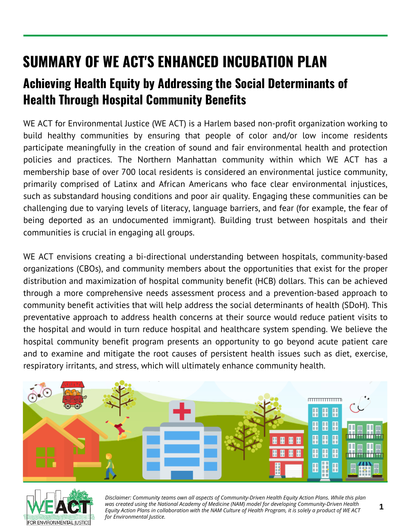## **SUMMARY OF WE ACT'S ENHANCED INCUBATION PLAN**

## **Achieving Health Equity by Addressing the Social Determinants of Health Through Hospital Community Benefits**

WE ACT for Environmental Justice (WE ACT) is a Harlem based non-profit organization working to build healthy communities by ensuring that people of color and/or low income residents participate meaningfully in the creation of sound and fair environmental health and protection policies and practices. The Northern Manhattan community within which WE ACT has a membership base of over 700 local residents is considered an environmental justice community, primarily comprised of Latinx and African Americans who face clear environmental injustices, such as substandard housing conditions and poor air quality. Engaging these communities can be challenging due to varying levels of literacy, language barriers, and fear (for example, the fear of being deported as an undocumented immigrant). Building trust between hospitals and their communities is crucial in engaging all groups.

WE ACT envisions creating a bi-directional understanding between hospitals, community-based organizations (CBOs), and community members about the opportunities that exist for the proper distribution and maximization of hospital community benefit (HCB) dollars. This can be achieved through a more comprehensive needs assessment process and a prevention-based approach to community benefit activities that will help address the social determinants of health (SDoH). This preventative approach to address health concerns at their source would reduce patient visits to the hospital and would in turn reduce hospital and healthcare system spending. We believe the hospital community benefit program presents an opportunity to go beyond acute patient care and to examine and mitigate the root causes of persistent health issues such as diet, exercise, respiratory irritants, and stress, which will ultimately enhance community health.





*Disclaimer: Community teams own all aspects of Community-Driven Health Equity Action Plans. While this plan was created using the National Academy of Medicine (NAM) model for developing Community-Driven Health Equity Action Plans in collaboration with the NAM Culture of Health Program, it is solely a product of WE ACT for Environmental Justice.*